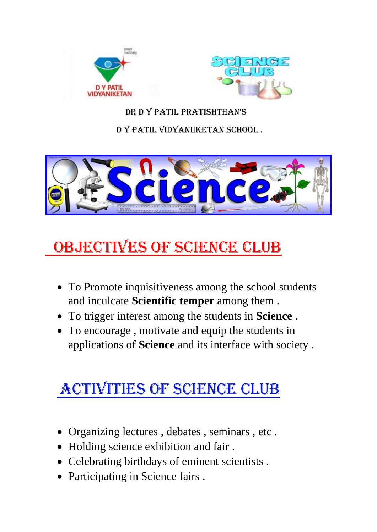



Dr D Y PATIL PRATISHTHAN'<sup>s</sup>

D Y PATIL VIDYANIIKETAN SCHOOL .



# OBJECTIVES OF SCIENCE CLUB

- To Promote inquisitiveness among the school students and inculcate **Scientific temper** among them .
- To trigger interest among the students in **Science** .
- To encourage , motivate and equip the students in applications of **Science** and its interface with society .

## Activities of science club

- Organizing lectures , debates , seminars , etc .
- Holding science exhibition and fair.
- Celebrating birthdays of eminent scientists .
- Participating in Science fairs .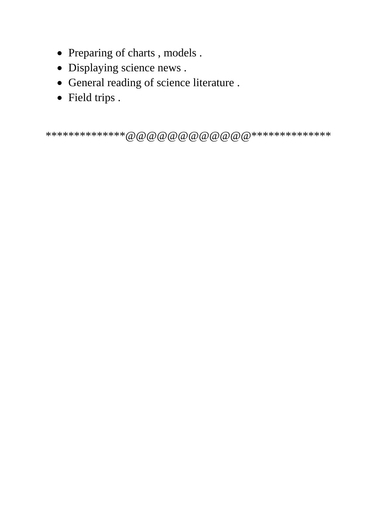- Preparing of charts, models.
- Displaying science news .
- General reading of science literature .
- Field trips .

\*\*\*\*\*\*\*\*\*\*\*\*\*\*@@@@@@@@@@@@\*\*\*\*\*\*\*\*\*\*\*\*\*\*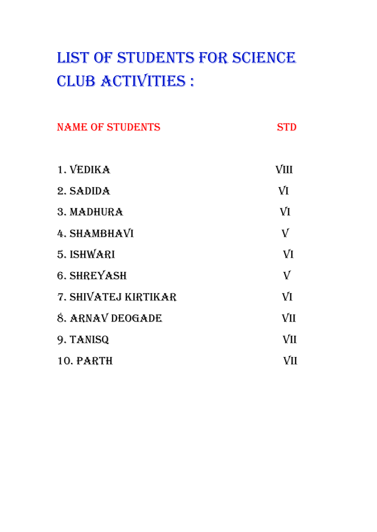# LIST OF STUDENTS FOR SCIENCE CLUB ACTIVITIES :

| <b>NAME OF STUDENTS</b> | STD                       |
|-------------------------|---------------------------|
| 1. VEDIKA               | VIII                      |
| 2. SADIDA               | VI                        |
| 3. MADHURA              | VI                        |
| 4. SHAMBHAVI            | $\boldsymbol{\mathbb{V}}$ |
| 5. ISHWARI              | VI                        |
| <b>6. SHREYASH</b>      | ${\bf V}$                 |
| 7. SHIVATEJ KIRTIKAR    | VI                        |
| 8. ARNAV DEOGADE        | VII                       |
| 9. TANISQ               | VII                       |
| <b>10. PARTH</b>        | VII                       |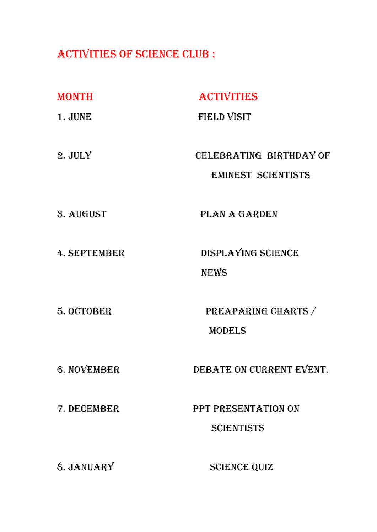### ACTIVITIES OF SCIENCE CLUB :

| <b>MONTH</b> | <b>ACTIVITIES</b>                                    |
|--------------|------------------------------------------------------|
| 1. JUNE      | <b>FIELD VISIT</b>                                   |
| 2. JULY      | CELEBRATING BIRTHDAY OF<br><b>EMINEST SCIENTISTS</b> |
| 3. AUGUST    | PLAN A GARDEN                                        |
| 4. SEPTEMBER | DISPLAYING SCIENCE<br><b>NEWS</b>                    |
| 5. OCTOBER   | <b>PREAPARING CHARTS/</b><br><b>MODELS</b>           |
| 6. NOVEMBER  | DEBATE ON CURRENT EVENT.                             |
| 7. DECEMBER  | PPT PRESENTATION ON<br><b>SCIENTISTS</b>             |
| 8. JANUARY   | <b>SCIENCE QUIZ</b>                                  |